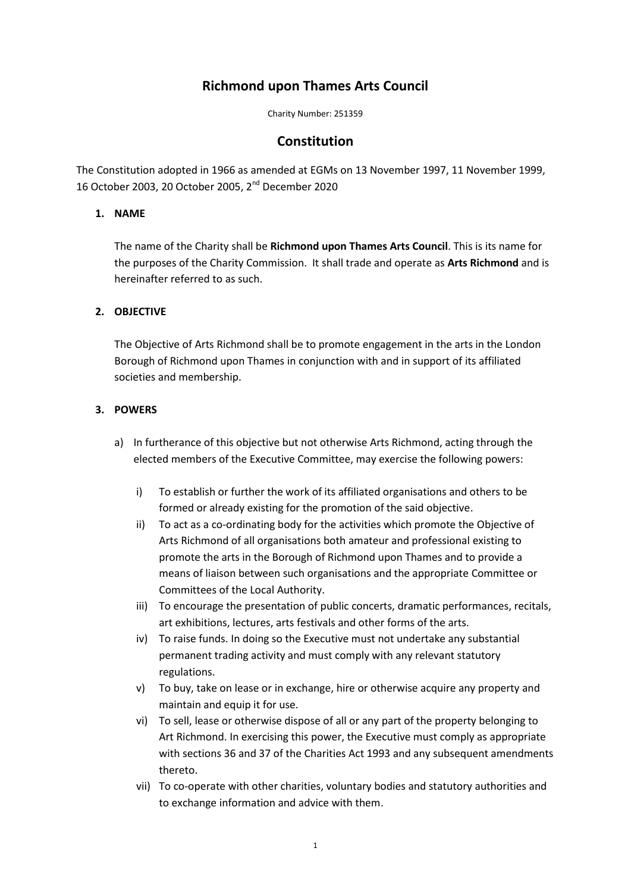# **Richmond upon Thames Arts Council**

Charity Number: 251359

# **Constitution**

The Constitution adopted in 1966 as amended at EGMs on 13 November 1997, 11 November 1999, 16 October 2003, 20 October 2005, 2nd December 2020

#### **1. NAME**

The name of the Charity shall be **Richmond upon Thames Arts Council**. This is its name for the purposes of the Charity Commission. It shall trade and operate as **Arts Richmond** and is hereinafter referred to as such.

#### **2. OBJECTIVE**

The Objective of Arts Richmond shall be to promote engagement in the arts in the London Borough of Richmond upon Thames in conjunction with and in support of its affiliated societies and membership.

#### **3. POWERS**

- a) In furtherance of this objective but not otherwise Arts Richmond, acting through the elected members of the Executive Committee, may exercise the following powers:
	- i) To establish or further the work of its affiliated organisations and others to be formed or already existing for the promotion of the said objective.
	- ii) To act as a co-ordinating body for the activities which promote the Objective of Arts Richmond of all organisations both amateur and professional existing to promote the arts in the Borough of Richmond upon Thames and to provide a means of liaison between such organisations and the appropriate Committee or Committees of the Local Authority.
	- iii) To encourage the presentation of public concerts, dramatic performances, recitals, art exhibitions, lectures, arts festivals and other forms of the arts.
	- iv) To raise funds. In doing so the Executive must not undertake any substantial permanent trading activity and must comply with any relevant statutory regulations.
	- v) To buy, take on lease or in exchange, hire or otherwise acquire any property and maintain and equip it for use.
	- vi) To sell, lease or otherwise dispose of all or any part of the property belonging to Art Richmond. In exercising this power, the Executive must comply as appropriate with sections 36 and 37 of the Charities Act 1993 and any subsequent amendments thereto.
	- vii) To co-operate with other charities, voluntary bodies and statutory authorities and to exchange information and advice with them.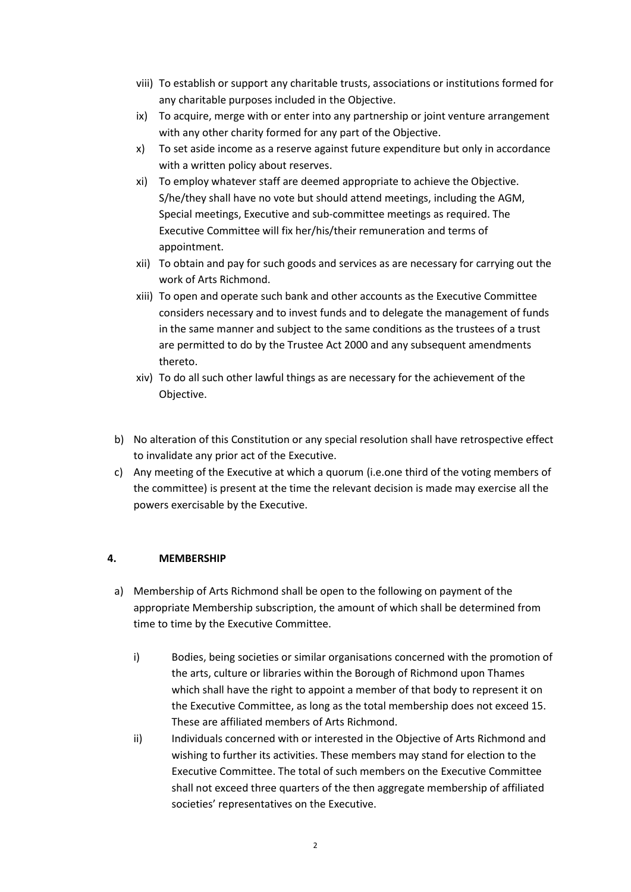- viii) To establish or support any charitable trusts, associations or institutions formed for any charitable purposes included in the Objective.
- ix) To acquire, merge with or enter into any partnership or joint venture arrangement with any other charity formed for any part of the Objective.
- x) To set aside income as a reserve against future expenditure but only in accordance with a written policy about reserves.
- xi) To employ whatever staff are deemed appropriate to achieve the Objective. S/he/they shall have no vote but should attend meetings, including the AGM, Special meetings, Executive and sub-committee meetings as required. The Executive Committee will fix her/his/their remuneration and terms of appointment.
- xii) To obtain and pay for such goods and services as are necessary for carrying out the work of Arts Richmond.
- xiii) To open and operate such bank and other accounts as the Executive Committee considers necessary and to invest funds and to delegate the management of funds in the same manner and subject to the same conditions as the trustees of a trust are permitted to do by the Trustee Act 2000 and any subsequent amendments thereto.
- xiv) To do all such other lawful things as are necessary for the achievement of the Objective.
- b) No alteration of this Constitution or any special resolution shall have retrospective effect to invalidate any prior act of the Executive.
- c) Any meeting of the Executive at which a quorum (i.e.one third of the voting members of the committee) is present at the time the relevant decision is made may exercise all the powers exercisable by the Executive.

#### **4. MEMBERSHIP**

- a) Membership of Arts Richmond shall be open to the following on payment of the appropriate Membership subscription, the amount of which shall be determined from time to time by the Executive Committee.
	- i) Bodies, being societies or similar organisations concerned with the promotion of the arts, culture or libraries within the Borough of Richmond upon Thames which shall have the right to appoint a member of that body to represent it on the Executive Committee, as long as the total membership does not exceed 15. These are affiliated members of Arts Richmond.
	- ii) Individuals concerned with or interested in the Objective of Arts Richmond and wishing to further its activities. These members may stand for election to the Executive Committee. The total of such members on the Executive Committee shall not exceed three quarters of the then aggregate membership of affiliated societies' representatives on the Executive.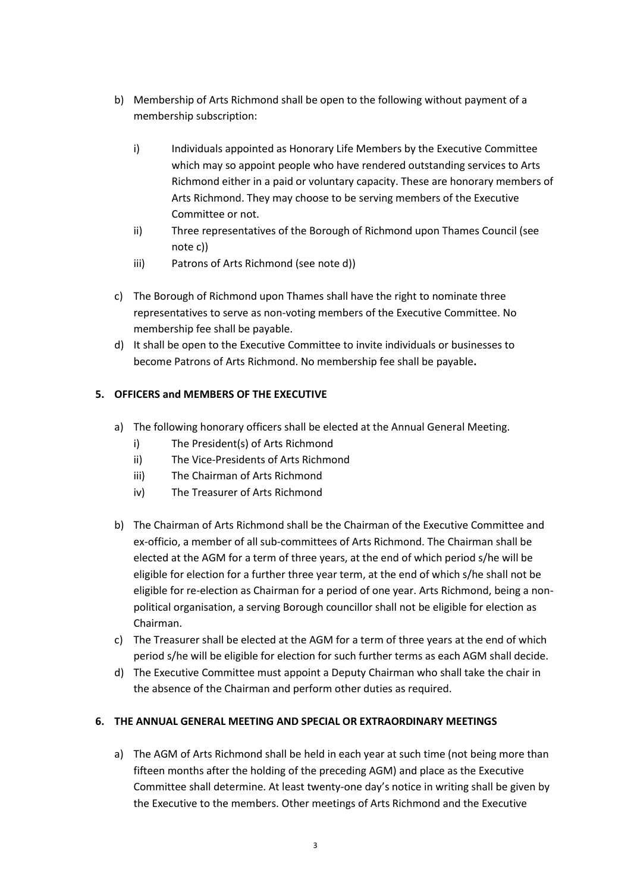- b) Membership of Arts Richmond shall be open to the following without payment of a membership subscription:
	- i) Individuals appointed as Honorary Life Members by the Executive Committee which may so appoint people who have rendered outstanding services to Arts Richmond either in a paid or voluntary capacity. These are honorary members of Arts Richmond. They may choose to be serving members of the Executive Committee or not.
	- ii) Three representatives of the Borough of Richmond upon Thames Council (see note c))
	- iii) Patrons of Arts Richmond (see note d))
- c) The Borough of Richmond upon Thames shall have the right to nominate three representatives to serve as non-voting members of the Executive Committee. No membership fee shall be payable.
- d) It shall be open to the Executive Committee to invite individuals or businesses to become Patrons of Arts Richmond. No membership fee shall be payable**.**

## **5. OFFICERS and MEMBERS OF THE EXECUTIVE**

- a) The following honorary officers shall be elected at the Annual General Meeting.
	- i) The President(s) of Arts Richmond
	- ii) The Vice-Presidents of Arts Richmond
	- iii) The Chairman of Arts Richmond
	- iv) The Treasurer of Arts Richmond
- b) The Chairman of Arts Richmond shall be the Chairman of the Executive Committee and ex-officio, a member of all sub-committees of Arts Richmond. The Chairman shall be elected at the AGM for a term of three years, at the end of which period s/he will be eligible for election for a further three year term, at the end of which s/he shall not be eligible for re-election as Chairman for a period of one year. Arts Richmond, being a nonpolitical organisation, a serving Borough councillor shall not be eligible for election as Chairman.
- c) The Treasurer shall be elected at the AGM for a term of three years at the end of which period s/he will be eligible for election for such further terms as each AGM shall decide.
- d) The Executive Committee must appoint a Deputy Chairman who shall take the chair in the absence of the Chairman and perform other duties as required.

## **6. THE ANNUAL GENERAL MEETING AND SPECIAL OR EXTRAORDINARY MEETINGS**

a) The AGM of Arts Richmond shall be held in each year at such time (not being more than fifteen months after the holding of the preceding AGM) and place as the Executive Committee shall determine. At least twenty-one day's notice in writing shall be given by the Executive to the members. Other meetings of Arts Richmond and the Executive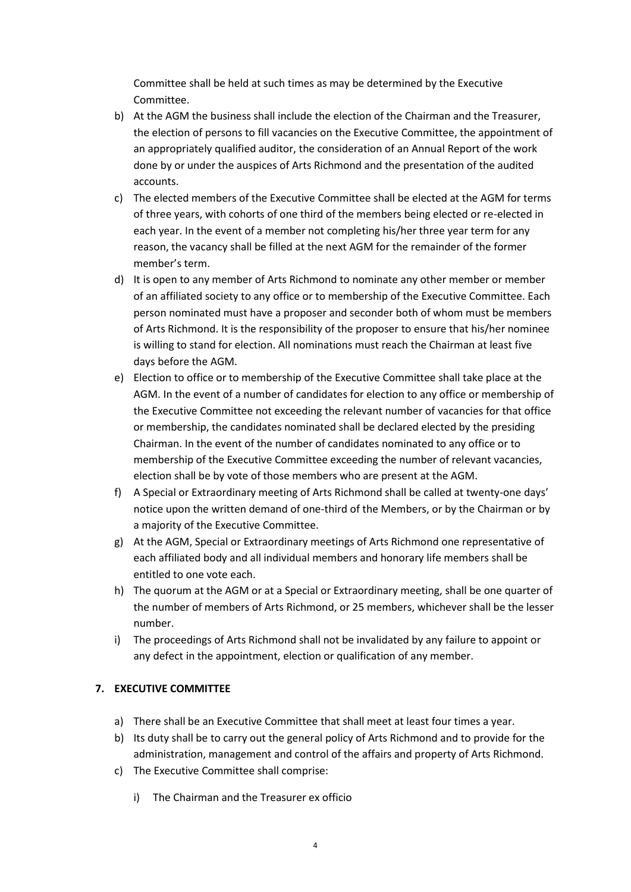Committee shall be held at such times as may be determined by the Executive Committee.

- b) At the AGM the business shall include the election of the Chairman and the Treasurer, the election of persons to fill vacancies on the Executive Committee, the appointment of an appropriately qualified auditor, the consideration of an Annual Report of the work done by or under the auspices of Arts Richmond and the presentation of the audited accounts.
- c) The elected members of the Executive Committee shall be elected at the AGM for terms of three years, with cohorts of one third of the members being elected or re-elected in each year. In the event of a member not completing his/her three year term for any reason, the vacancy shall be filled at the next AGM for the remainder of the former member's term.
- d) It is open to any member of Arts Richmond to nominate any other member or member of an affiliated society to any office or to membership of the Executive Committee. Each person nominated must have a proposer and seconder both of whom must be members of Arts Richmond. It is the responsibility of the proposer to ensure that his/her nominee is willing to stand for election. All nominations must reach the Chairman at least five days before the AGM.
- e) Election to office or to membership of the Executive Committee shall take place at the AGM. In the event of a number of candidates for election to any office or membership of the Executive Committee not exceeding the relevant number of vacancies for that office or membership, the candidates nominated shall be declared elected by the presiding Chairman. In the event of the number of candidates nominated to any office or to membership of the Executive Committee exceeding the number of relevant vacancies, election shall be by vote of those members who are present at the AGM.
- f) A Special or Extraordinary meeting of Arts Richmond shall be called at twenty-one days' notice upon the written demand of one-third of the Members, or by the Chairman or by a majority of the Executive Committee.
- g) At the AGM, Special or Extraordinary meetings of Arts Richmond one representative of each affiliated body and all individual members and honorary life members shall be entitled to one vote each.
- h) The quorum at the AGM or at a Special or Extraordinary meeting, shall be one quarter of the number of members of Arts Richmond, or 25 members, whichever shall be the lesser number.
- i) The proceedings of Arts Richmond shall not be invalidated by any failure to appoint or any defect in the appointment, election or qualification of any member.

## **7. EXECUTIVE COMMITTEE**

- a) There shall be an Executive Committee that shall meet at least four times a year.
- b) Its duty shall be to carry out the general policy of Arts Richmond and to provide for the administration, management and control of the affairs and property of Arts Richmond.
- c) The Executive Committee shall comprise:
	- i) The Chairman and the Treasurer ex officio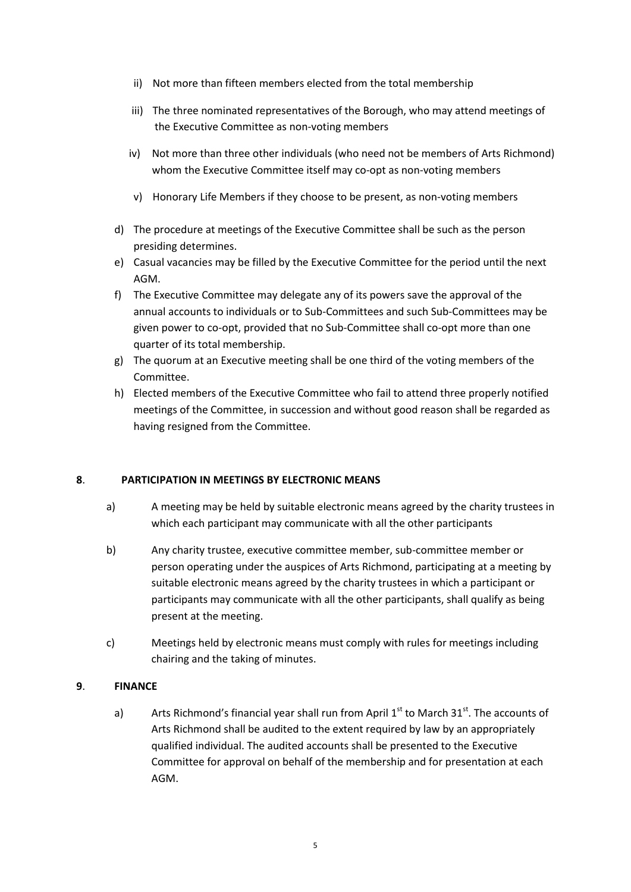- ii) Not more than fifteen members elected from the total membership
- iii) The three nominated representatives of the Borough, who may attend meetings of the Executive Committee as non-voting members
- iv) Not more than three other individuals (who need not be members of Arts Richmond) whom the Executive Committee itself may co-opt as non-voting members
- v) Honorary Life Members if they choose to be present, as non-voting members
- d) The procedure at meetings of the Executive Committee shall be such as the person presiding determines.
- e) Casual vacancies may be filled by the Executive Committee for the period until the next AGM.
- f) The Executive Committee may delegate any of its powers save the approval of the annual accounts to individuals or to Sub-Committees and such Sub-Committees may be given power to co-opt, provided that no Sub-Committee shall co-opt more than one quarter of its total membership.
- g) The quorum at an Executive meeting shall be one third of the voting members of the Committee.
- h) Elected members of the Executive Committee who fail to attend three properly notified meetings of the Committee, in succession and without good reason shall be regarded as having resigned from the Committee.

## **8**. **PARTICIPATION IN MEETINGS BY ELECTRONIC MEANS**

- a) A meeting may be held by suitable electronic means agreed by the charity trustees in which each participant may communicate with all the other participants
- b) Any charity trustee, executive committee member, sub-committee member or person operating under the auspices of Arts Richmond, participating at a meeting by suitable electronic means agreed by the charity trustees in which a participant or participants may communicate with all the other participants, shall qualify as being present at the meeting.
- c) Meetings held by electronic means must comply with rules for meetings including chairing and the taking of minutes.

## **9**. **FINANCE**

a) Arts Richmond's financial year shall run from April  $1<sup>st</sup>$  to March  $31<sup>st</sup>$ . The accounts of Arts Richmond shall be audited to the extent required by law by an appropriately qualified individual. The audited accounts shall be presented to the Executive Committee for approval on behalf of the membership and for presentation at each AGM.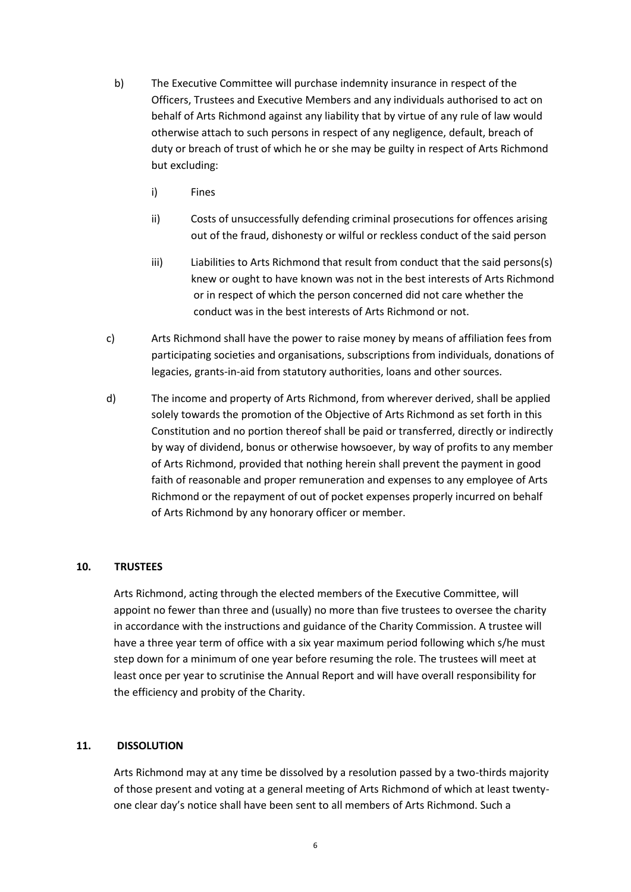- b) The Executive Committee will purchase indemnity insurance in respect of the Officers, Trustees and Executive Members and any individuals authorised to act on behalf of Arts Richmond against any liability that by virtue of any rule of law would otherwise attach to such persons in respect of any negligence, default, breach of duty or breach of trust of which he or she may be guilty in respect of Arts Richmond but excluding:
	- i) Fines
	- ii) Costs of unsuccessfully defending criminal prosecutions for offences arising out of the fraud, dishonesty or wilful or reckless conduct of the said person
	- iii) Liabilities to Arts Richmond that result from conduct that the said persons(s) knew or ought to have known was not in the best interests of Arts Richmond or in respect of which the person concerned did not care whether the conduct was in the best interests of Arts Richmond or not.
- c) Arts Richmond shall have the power to raise money by means of affiliation fees from participating societies and organisations, subscriptions from individuals, donations of legacies, grants-in-aid from statutory authorities, loans and other sources.
- d) The income and property of Arts Richmond, from wherever derived, shall be applied solely towards the promotion of the Objective of Arts Richmond as set forth in this Constitution and no portion thereof shall be paid or transferred, directly or indirectly by way of dividend, bonus or otherwise howsoever, by way of profits to any member of Arts Richmond, provided that nothing herein shall prevent the payment in good faith of reasonable and proper remuneration and expenses to any employee of Arts Richmond or the repayment of out of pocket expenses properly incurred on behalf of Arts Richmond by any honorary officer or member.

## **10. TRUSTEES**

Arts Richmond, acting through the elected members of the Executive Committee, will appoint no fewer than three and (usually) no more than five trustees to oversee the charity in accordance with the instructions and guidance of the Charity Commission. A trustee will have a three year term of office with a six year maximum period following which s/he must step down for a minimum of one year before resuming the role. The trustees will meet at least once per year to scrutinise the Annual Report and will have overall responsibility for the efficiency and probity of the Charity.

## **11. DISSOLUTION**

Arts Richmond may at any time be dissolved by a resolution passed by a two-thirds majority of those present and voting at a general meeting of Arts Richmond of which at least twentyone clear day's notice shall have been sent to all members of Arts Richmond. Such a